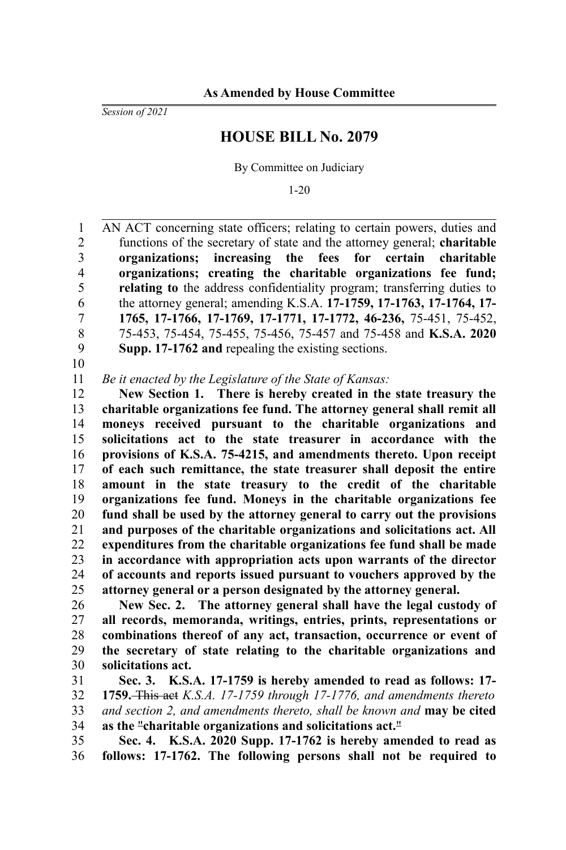*Session of 2021*

## **HOUSE BILL No. 2079**

By Committee on Judiciary

1-20

AN ACT concerning state officers; relating to certain powers, duties and functions of the secretary of state and the attorney general; **charitable organizations; increasing the fees for certain charitable organizations; creating the charitable organizations fee fund; relating to** the address confidentiality program; transferring duties to the attorney general; amending K.S.A. **17-1759, 17-1763, 17-1764, 17- 1765, 17-1766, 17-1769, 17-1771, 17-1772, 46-236,** 75-451, 75-452, 75-453, 75-454, 75-455, 75-456, 75-457 and 75-458 and **K.S.A. 2020 Supp. 17-1762 and** repealing the existing sections. 1 2 3 4 5 6 7 8 9

10

*Be it enacted by the Legislature of the State of Kansas:* 11

**New Section 1. There is hereby created in the state treasury the charitable organizations fee fund. The attorney general shall remit all moneys received pursuant to the charitable organizations and solicitations act to the state treasurer in accordance with the provisions of K.S.A. 75-4215, and amendments thereto. Upon receipt of each such remittance, the state treasurer shall deposit the entire amount in the state treasury to the credit of the charitable organizations fee fund. Moneys in the charitable organizations fee fund shall be used by the attorney general to carry out the provisions and purposes of the charitable organizations and solicitations act. All expenditures from the charitable organizations fee fund shall be made in accordance with appropriation acts upon warrants of the director of accounts and reports issued pursuant to vouchers approved by the attorney general or a person designated by the attorney general.** 12 13 14 15 16 17 18 19 20 21 22 23 24 25

**New Sec. 2. The attorney general shall have the legal custody of all records, memoranda, writings, entries, prints, representations or combinations thereof of any act, transaction, occurrence or event of the secretary of state relating to the charitable organizations and solicitations act.** 26 27 28 29 30

**Sec. 3. K.S.A. 17-1759 is hereby amended to read as follows: 17- 1759.** This act *K.S.A. 17-1759 through 17-1776, and amendments thereto and section 2, and amendments thereto, shall be known and* **may be cited as the** "**charitable organizations and solicitations act.**" 31 32 33 34

**Sec. 4. K.S.A. 2020 Supp. 17-1762 is hereby amended to read as follows: 17-1762. The following persons shall not be required to** 35 36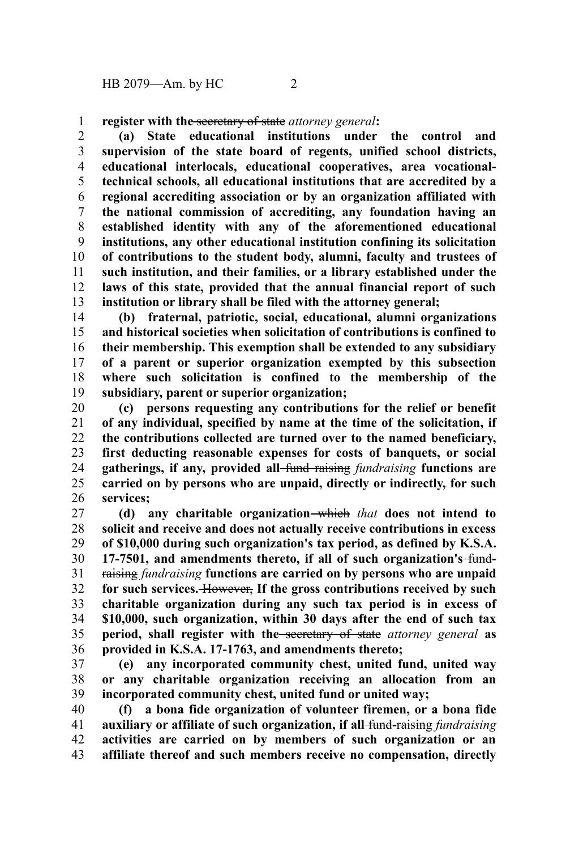**register with the** secretary of state *attorney general***:** 1

**(a) State educational institutions under the control and supervision of the state board of regents, unified school districts, educational interlocals, educational cooperatives, area vocationaltechnical schools, all educational institutions that are accredited by a regional accrediting association or by an organization affiliated with the national commission of accrediting, any foundation having an established identity with any of the aforementioned educational institutions, any other educational institution confining its solicitation of contributions to the student body, alumni, faculty and trustees of such institution, and their families, or a library established under the laws of this state, provided that the annual financial report of such institution or library shall be filed with the attorney general;** 2 3 4 5 6 7 8 9 10 11 12 13

**(b) fraternal, patriotic, social, educational, alumni organizations and historical societies when solicitation of contributions is confined to their membership. This exemption shall be extended to any subsidiary of a parent or superior organization exempted by this subsection where such solicitation is confined to the membership of the subsidiary, parent or superior organization;** 14 15 16 17 18 19

**(c) persons requesting any contributions for the relief or benefit of any individual, specified by name at the time of the solicitation, if the contributions collected are turned over to the named beneficiary, first deducting reasonable expenses for costs of banquets, or social gatherings, if any, provided all** fund raising *fundraising* **functions are carried on by persons who are unpaid, directly or indirectly, for such services;** 20 21 22 23 24 25 26

**(d) any charitable organization** which *that* **does not intend to solicit and receive and does not actually receive contributions in excess of \$10,000 during such organization's tax period, as defined by K.S.A. 17-7501, and amendments thereto, if all of such organization's** fundraising *fundraising* **functions are carried on by persons who are unpaid for such services.** However, **If the gross contributions received by such charitable organization during any such tax period is in excess of \$10,000, such organization, within 30 days after the end of such tax period, shall register with the** secretary of state *attorney general* **as provided in K.S.A. 17-1763, and amendments thereto;** 27 28 29 30 31 32 33 34 35 36

**(e) any incorporated community chest, united fund, united way or any charitable organization receiving an allocation from an incorporated community chest, united fund or united way;** 37 38 39

**(f) a bona fide organization of volunteer firemen, or a bona fide auxiliary or affiliate of such organization, if all** fund-raising *fundraising* **activities are carried on by members of such organization or an affiliate thereof and such members receive no compensation, directly** 40 41 42 43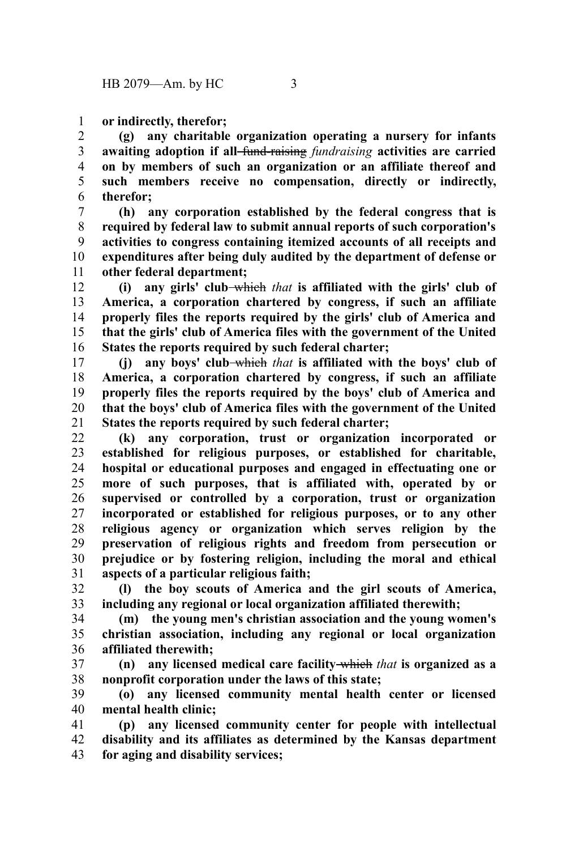**or indirectly, therefor;** 1

**(g) any charitable organization operating a nursery for infants awaiting adoption if all** fund-raising *fundraising* **activities are carried on by members of such an organization or an affiliate thereof and such members receive no compensation, directly or indirectly, therefor;** 2 3 4 5 6

**(h) any corporation established by the federal congress that is required by federal law to submit annual reports of such corporation's activities to congress containing itemized accounts of all receipts and expenditures after being duly audited by the department of defense or other federal department;** 7 8 9 10 11

**(i) any girls' club** which *that* **is affiliated with the girls' club of America, a corporation chartered by congress, if such an affiliate properly files the reports required by the girls' club of America and that the girls' club of America files with the government of the United States the reports required by such federal charter;** 12 13 14 15 16

**(j) any boys' club** which *that* **is affiliated with the boys' club of America, a corporation chartered by congress, if such an affiliate properly files the reports required by the boys' club of America and that the boys' club of America files with the government of the United States the reports required by such federal charter;** 17 18 19 20 21

**(k) any corporation, trust or organization incorporated or established for religious purposes, or established for charitable, hospital or educational purposes and engaged in effectuating one or more of such purposes, that is affiliated with, operated by or supervised or controlled by a corporation, trust or organization incorporated or established for religious purposes, or to any other religious agency or organization which serves religion by the preservation of religious rights and freedom from persecution or prejudice or by fostering religion, including the moral and ethical aspects of a particular religious faith;** 22 23 24 25 26 27 28 29 30 31

**(l) the boy scouts of America and the girl scouts of America, including any regional or local organization affiliated therewith;** 32 33

**(m) the young men's christian association and the young women's christian association, including any regional or local organization affiliated therewith;** 34 35 36

**(n) any licensed medical care facility** which *that* **is organized as a nonprofit corporation under the laws of this state;** 37 38

**(o) any licensed community mental health center or licensed mental health clinic;** 39 40

**(p) any licensed community center for people with intellectual disability and its affiliates as determined by the Kansas department for aging and disability services;** 41 42 43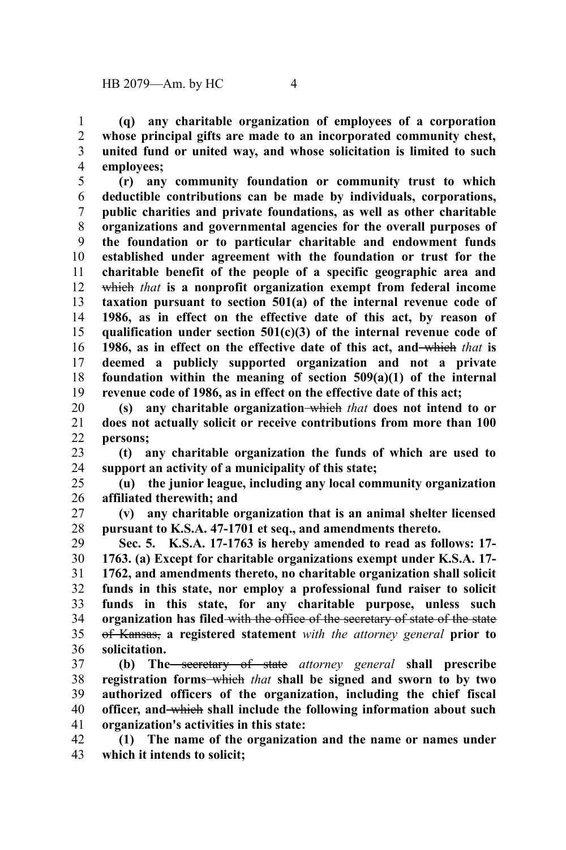**(q) any charitable organization of employees of a corporation whose principal gifts are made to an incorporated community chest, united fund or united way, and whose solicitation is limited to such employees;** 1 2 3 4

**(r) any community foundation or community trust to which deductible contributions can be made by individuals, corporations, public charities and private foundations, as well as other charitable organizations and governmental agencies for the overall purposes of the foundation or to particular charitable and endowment funds established under agreement with the foundation or trust for the charitable benefit of the people of a specific geographic area and** which *that* **is a nonprofit organization exempt from federal income taxation pursuant to section 501(a) of the internal revenue code of 1986, as in effect on the effective date of this act, by reason of qualification under section 501(c)(3) of the internal revenue code of 1986, as in effect on the effective date of this act, and** which *that* **is deemed a publicly supported organization and not a private foundation within the meaning of section 509(a)(1) of the internal revenue code of 1986, as in effect on the effective date of this act;** 5 6 7 8 9 10 11 12 13 14 15 16 17 18 19

**(s) any charitable organization** which *that* **does not intend to or does not actually solicit or receive contributions from more than 100 persons;** 20 21 22

**(t) any charitable organization the funds of which are used to support an activity of a municipality of this state;** 23 24

**(u) the junior league, including any local community organization affiliated therewith; and** 25 26

**(v) any charitable organization that is an animal shelter licensed pursuant to K.S.A. 47-1701 et seq., and amendments thereto.** 27 28

**Sec. 5. K.S.A. 17-1763 is hereby amended to read as follows: 17- 1763. (a) Except for charitable organizations exempt under K.S.A. 17- 1762, and amendments thereto, no charitable organization shall solicit funds in this state, nor employ a professional fund raiser to solicit funds in this state, for any charitable purpose, unless such organization has filed** with the office of the secretary of state of the state of Kansas, **a registered statement** *with the attorney general* **prior to solicitation.** 29 30 31 32 33 34 35 36

**(b) The** secretary of state *attorney general* **shall prescribe registration forms** which *that* **shall be signed and sworn to by two authorized officers of the organization, including the chief fiscal officer, and** which **shall include the following information about such organization's activities in this state:** 37 38 39 40 41

**(1) The name of the organization and the name or names under which it intends to solicit;** 42 43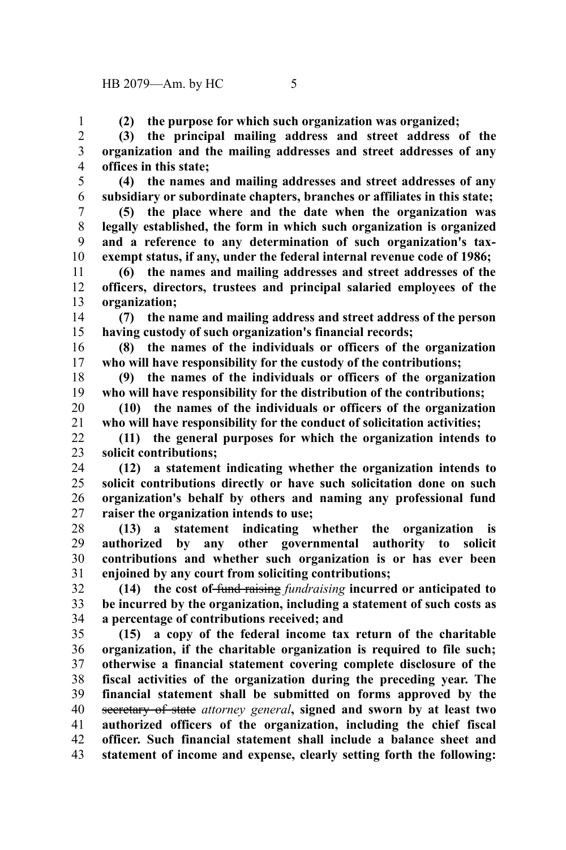**(2) the purpose for which such organization was organized;**

**(3) the principal mailing address and street address of the organization and the mailing addresses and street addresses of any offices in this state;** 2 3 4

**(4) the names and mailing addresses and street addresses of any subsidiary or subordinate chapters, branches or affiliates in this state;** 5 6

**(5) the place where and the date when the organization was legally established, the form in which such organization is organized and a reference to any determination of such organization's taxexempt status, if any, under the federal internal revenue code of 1986;** 7 8 9 10

**(6) the names and mailing addresses and street addresses of the officers, directors, trustees and principal salaried employees of the organization;** 11 12 13

**(7) the name and mailing address and street address of the person having custody of such organization's financial records;** 14 15

**(8) the names of the individuals or officers of the organization who will have responsibility for the custody of the contributions;** 16 17

**(9) the names of the individuals or officers of the organization who will have responsibility for the distribution of the contributions;** 18 19

**(10) the names of the individuals or officers of the organization who will have responsibility for the conduct of solicitation activities;** 20 21

**(11) the general purposes for which the organization intends to solicit contributions;** 22 23

**(12) a statement indicating whether the organization intends to solicit contributions directly or have such solicitation done on such organization's behalf by others and naming any professional fund raiser the organization intends to use;** 24 25 26 27

**(13) a statement indicating whether the organization is authorized by any other governmental authority to solicit contributions and whether such organization is or has ever been enjoined by any court from soliciting contributions;** 28 29 30 31

**(14) the cost of** fund raising *fundraising* **incurred or anticipated to be incurred by the organization, including a statement of such costs as a percentage of contributions received; and** 32 33 34

**(15) a copy of the federal income tax return of the charitable organization, if the charitable organization is required to file such; otherwise a financial statement covering complete disclosure of the fiscal activities of the organization during the preceding year. The financial statement shall be submitted on forms approved by the** secretary of state *attorney general***, signed and sworn by at least two authorized officers of the organization, including the chief fiscal officer. Such financial statement shall include a balance sheet and statement of income and expense, clearly setting forth the following:** 35 36 37 38 39 40 41 42 43

1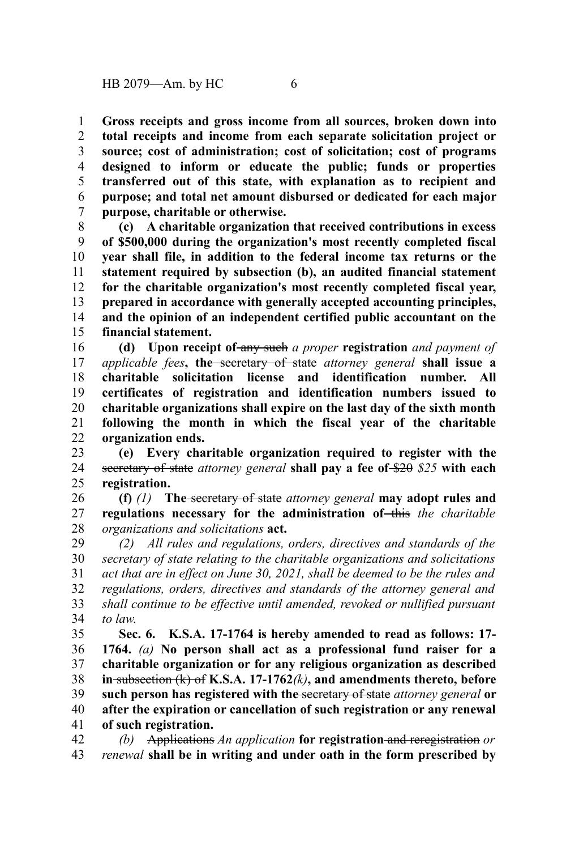**Gross receipts and gross income from all sources, broken down into total receipts and income from each separate solicitation project or source; cost of administration; cost of solicitation; cost of programs designed to inform or educate the public; funds or properties transferred out of this state, with explanation as to recipient and purpose; and total net amount disbursed or dedicated for each major purpose, charitable or otherwise.** 1 2 3 4 5 6 7

**(c) A charitable organization that received contributions in excess of \$500,000 during the organization's most recently completed fiscal year shall file, in addition to the federal income tax returns or the statement required by subsection (b), an audited financial statement for the charitable organization's most recently completed fiscal year, prepared in accordance with generally accepted accounting principles, and the opinion of an independent certified public accountant on the financial statement.** 8 9 10 11 12 13 14 15

**(d) Upon receipt of** any such *a proper* **registration** *and payment of applicable fees***, the** secretary of state *attorney general* **shall issue a charitable solicitation license and identification number. All certificates of registration and identification numbers issued to charitable organizations shall expire on the last day of the sixth month following the month in which the fiscal year of the charitable organization ends.** 16 17 18 19 20 21 22

**(e) Every charitable organization required to register with the** secretary of state *attorney general* **shall pay a fee of** \$20 *\$25* **with each registration.** 23 24 25

**(f)** *(1)* **The** secretary of state *attorney general* **may adopt rules and regulations necessary for the administration of** this *the charitable organizations and solicitations* **act.** 26 27 28

*(2) All rules and regulations, orders, directives and standards of the secretary of state relating to the charitable organizations and solicitations act that are in effect on June 30, 2021, shall be deemed to be the rules and regulations, orders, directives and standards of the attorney general and shall continue to be effective until amended, revoked or nullified pursuant to law.* 29 30 31 32 33 34

**Sec. 6. K.S.A. 17-1764 is hereby amended to read as follows: 17- 1764.** *(a)* **No person shall act as a professional fund raiser for a charitable organization or for any religious organization as described in** subsection (k) of **K.S.A. 17-1762***(k)***, and amendments thereto, before such person has registered with the** secretary of state *attorney general* **or after the expiration or cancellation of such registration or any renewal of such registration.** 35 36 37 38 39 40 41

*(b)* Applications *An application* **for registration** and reregistration *or renewal* **shall be in writing and under oath in the form prescribed by** 42 43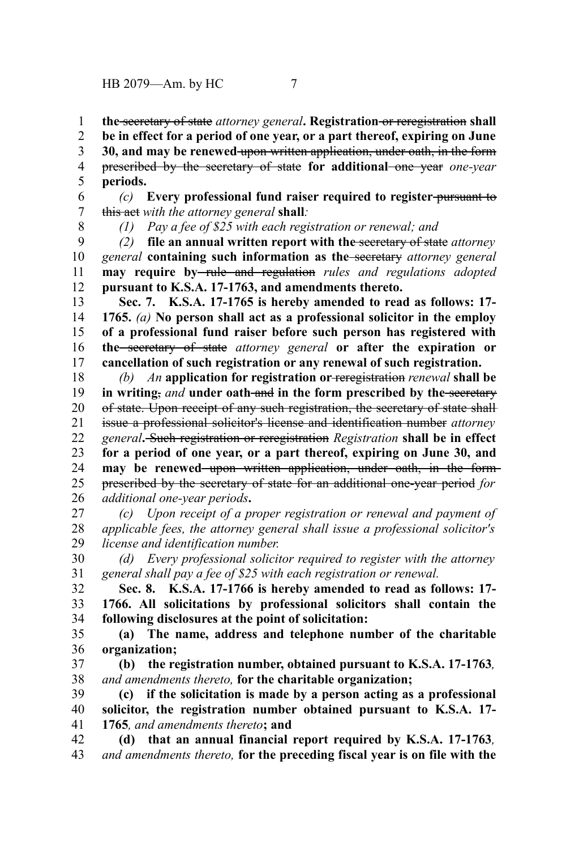**the** secretary of state *attorney general***. Registration** or reregistration **shall** 1

**be in effect for a period of one year, or a part thereof, expiring on June** 2

**30, and may be renewed** upon written application, under oath, in the form prescribed by the secretary of state **for additional** one year *one-year* 3 4

**periods.** 5

*(c)* **Every professional fund raiser required to register** pursuant to this act *with the attorney general* **shall***:* 6 7

8

*(1) Pay a fee of \$25 with each registration or renewal; and*

*(2)* **file an annual written report with the** secretary of state *attorney general* **containing such information as the** secretary *attorney general* **may require by** rule and regulation *rules and regulations adopted* **pursuant to K.S.A. 17-1763, and amendments thereto.** 9 10 11 12

**Sec. 7. K.S.A. 17-1765 is hereby amended to read as follows: 17- 1765.** *(a)* **No person shall act as a professional solicitor in the employ of a professional fund raiser before such person has registered with the** secretary of state *attorney general* **or after the expiration or cancellation of such registration or any renewal of such registration.** 13 14 15 16 17

*(b) An* **application for registration or** reregistration *renewal* **shall be in writing**, and **under** oath-and in the form prescribed by the secretary of state. Upon receipt of any such registration, the secretary of state shall issue a professional solicitor's license and identification number *attorney general***.** Such registration or reregistration *Registration* **shall be in effect for a period of one year, or a part thereof, expiring on June 30, and** may be renewed upon written application, under oath, in the formprescribed by the secretary of state for an additional one-year period *for additional one-year periods***.** 18 19 20 21 22 23 24 25 26

*(c) Upon receipt of a proper registration or renewal and payment of applicable fees, the attorney general shall issue a professional solicitor's license and identification number.* 27 28 29

*(d) Every professional solicitor required to register with the attorney general shall pay a fee of \$25 with each registration or renewal.* 30 31

**Sec. 8. K.S.A. 17-1766 is hereby amended to read as follows: 17- 1766. All solicitations by professional solicitors shall contain the following disclosures at the point of solicitation:** 32 33 34

**(a) The name, address and telephone number of the charitable organization;** 35 36

**(b) the registration number, obtained pursuant to K.S.A. 17-1763***, and amendments thereto,* **for the charitable organization;** 37 38

**(c) if the solicitation is made by a person acting as a professional solicitor, the registration number obtained pursuant to K.S.A. 17- 1765***, and amendments thereto***; and** 39 40 41

**(d) that an annual financial report required by K.S.A. 17-1763***, and amendments thereto,* **for the preceding fiscal year is on file with the** 42 43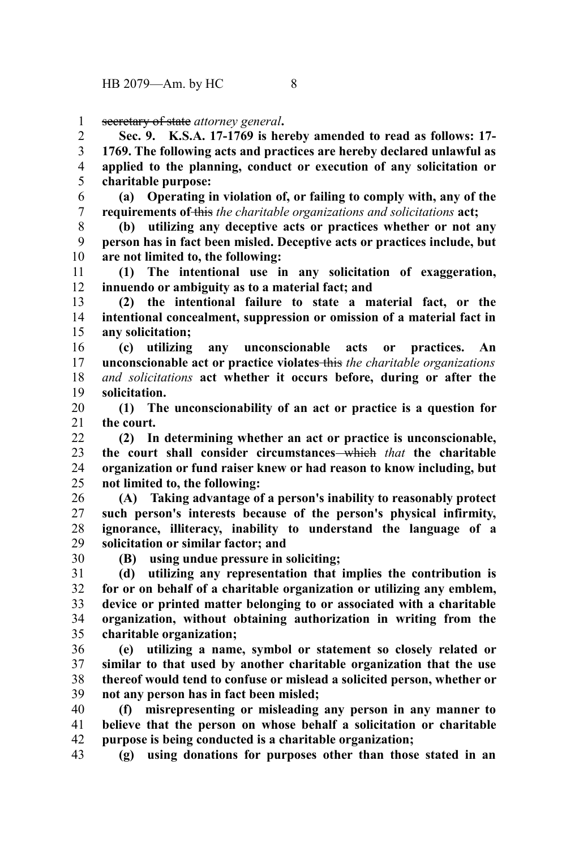secretary of state *attorney general***.** 1

**Sec. 9. K.S.A. 17-1769 is hereby amended to read as follows: 17- 1769. The following acts and practices are hereby declared unlawful as applied to the planning, conduct or execution of any solicitation or charitable purpose:** 2 3 4 5

**(a) Operating in violation of, or failing to comply with, any of the requirements of** this *the charitable organizations and solicitations* **act;** 6 7

**(b) utilizing any deceptive acts or practices whether or not any person has in fact been misled. Deceptive acts or practices include, but are not limited to, the following:** 8 9 10

**(1) The intentional use in any solicitation of exaggeration, innuendo or ambiguity as to a material fact; and** 11 12

**(2) the intentional failure to state a material fact, or the intentional concealment, suppression or omission of a material fact in any solicitation;** 13 14 15

**(c) utilizing any unconscionable acts or practices. An unconscionable act or practice violates** this *the charitable organizations and solicitations* **act whether it occurs before, during or after the solicitation.** 16 17 18 19

**(1) The unconscionability of an act or practice is a question for the court.** 20 21

**(2) In determining whether an act or practice is unconscionable, the court shall consider circumstances** which *that* **the charitable organization or fund raiser knew or had reason to know including, but not limited to, the following:**  $22$ 23 24 25

**(A) Taking advantage of a person's inability to reasonably protect such person's interests because of the person's physical infirmity, ignorance, illiteracy, inability to understand the language of a solicitation or similar factor; and** 26 27 28 29

30

**(B) using undue pressure in soliciting;**

**(d) utilizing any representation that implies the contribution is for or on behalf of a charitable organization or utilizing any emblem, device or printed matter belonging to or associated with a charitable organization, without obtaining authorization in writing from the charitable organization;** 31 32 33 34 35

**(e) utilizing a name, symbol or statement so closely related or similar to that used by another charitable organization that the use thereof would tend to confuse or mislead a solicited person, whether or not any person has in fact been misled;** 36 37 38 39

**(f) misrepresenting or misleading any person in any manner to believe that the person on whose behalf a solicitation or charitable purpose is being conducted is a charitable organization;** 40 41 42

**(g) using donations for purposes other than those stated in an** 43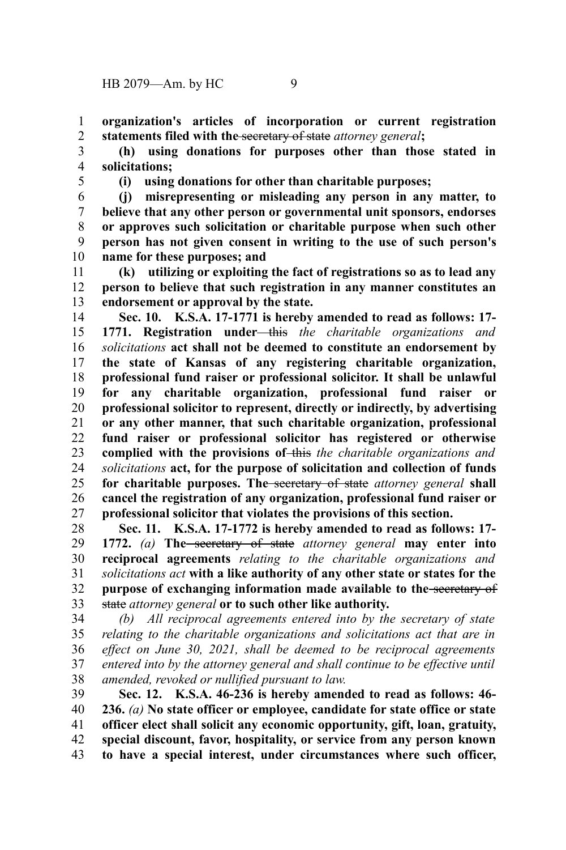**organization's articles of incorporation or current registration statements filed with the** secretary of state *attorney general***;** 1 2

**(h) using donations for purposes other than those stated in solicitations;** 3 4

5

**(i) using donations for other than charitable purposes;**

**(j) misrepresenting or misleading any person in any matter, to believe that any other person or governmental unit sponsors, endorses or approves such solicitation or charitable purpose when such other person has not given consent in writing to the use of such person's name for these purposes; and** 6 7 8 9 10

**(k) utilizing or exploiting the fact of registrations so as to lead any person to believe that such registration in any manner constitutes an endorsement or approval by the state.** 11 12 13

**Sec. 10. K.S.A. 17-1771 is hereby amended to read as follows: 17- 1771. Registration under** this *the charitable organizations and solicitations* **act shall not be deemed to constitute an endorsement by the state of Kansas of any registering charitable organization, professional fund raiser or professional solicitor. It shall be unlawful for any charitable organization, professional fund raiser or professional solicitor to represent, directly or indirectly, by advertising or any other manner, that such charitable organization, professional fund raiser or professional solicitor has registered or otherwise complied with the provisions of** this *the charitable organizations and solicitations* **act, for the purpose of solicitation and collection of funds for charitable purposes. The** secretary of state *attorney general* **shall cancel the registration of any organization, professional fund raiser or professional solicitor that violates the provisions of this section.** 14 15 16 17 18 19 20 21 22 23 24 25 26 27

**Sec. 11. K.S.A. 17-1772 is hereby amended to read as follows: 17- 1772.** *(a)* **The** secretary of state *attorney general* **may enter into reciprocal agreements** *relating to the charitable organizations and solicitations act* **with a like authority of any other state or states for the purpose of exchanging information made available to the** secretary of state *attorney general* **or to such other like authority.** 28 29 30 31 32 33

*(b) All reciprocal agreements entered into by the secretary of state relating to the charitable organizations and solicitations act that are in effect on June 30, 2021, shall be deemed to be reciprocal agreements entered into by the attorney general and shall continue to be effective until amended, revoked or nullified pursuant to law.* 34 35 36 37 38

**Sec. 12. K.S.A. 46-236 is hereby amended to read as follows: 46- 236.** *(a)* **No state officer or employee, candidate for state office or state officer elect shall solicit any economic opportunity, gift, loan, gratuity, special discount, favor, hospitality, or service from any person known to have a special interest, under circumstances where such officer,** 39 40 41 42 43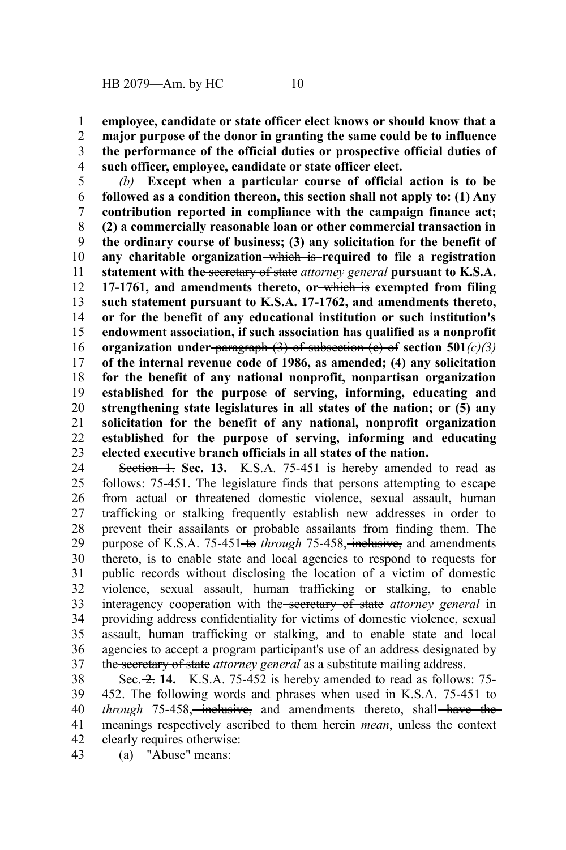**employee, candidate or state officer elect knows or should know that a major purpose of the donor in granting the same could be to influence the performance of the official duties or prospective official duties of such officer, employee, candidate or state officer elect.** 1 2 3 4

*(b)* **Except when a particular course of official action is to be followed as a condition thereon, this section shall not apply to: (1) Any contribution reported in compliance with the campaign finance act; (2) a commercially reasonable loan or other commercial transaction in the ordinary course of business; (3) any solicitation for the benefit of any charitable organization** which is **required to file a registration statement with the** secretary of state *attorney general* **pursuant to K.S.A. 17-1761, and amendments thereto, or** which is **exempted from filing such statement pursuant to K.S.A. 17-1762, and amendments thereto, or for the benefit of any educational institution or such institution's endowment association, if such association has qualified as a nonprofit organization under** paragraph (3) of subsection (c) of **section 501***(c)(3)* **of the internal revenue code of 1986, as amended; (4) any solicitation for the benefit of any national nonprofit, nonpartisan organization established for the purpose of serving, informing, educating and strengthening state legislatures in all states of the nation; or (5) any solicitation for the benefit of any national, nonprofit organization established for the purpose of serving, informing and educating elected executive branch officials in all states of the nation.** 5 6 7 8 9 10 11 12 13 14 15 16 17 18 19 20 21 22 23

Section 1. Sec. 13. K.S.A. 75-451 is hereby amended to read as follows: 75-451. The legislature finds that persons attempting to escape from actual or threatened domestic violence, sexual assault, human trafficking or stalking frequently establish new addresses in order to prevent their assailants or probable assailants from finding them. The purpose of K.S.A. 75-451<del> to</del> through 75-458, inclusive, and amendments thereto, is to enable state and local agencies to respond to requests for public records without disclosing the location of a victim of domestic violence, sexual assault, human trafficking or stalking, to enable interagency cooperation with the secretary of state *attorney general* in providing address confidentiality for victims of domestic violence, sexual assault, human trafficking or stalking, and to enable state and local agencies to accept a program participant's use of an address designated by the secretary of state *attorney general* as a substitute mailing address. 24 25 26 27 28 29 30 31 32 33 34 35 36 37

Sec. 2. **14.** K.S.A. 75-452 is hereby amended to read as follows: 75- 452. The following words and phrases when used in K.S.A. 75-451-to*through* 75-458, *inclusive*, and amendments thereto, shall have the meanings respectively ascribed to them herein *mean*, unless the context clearly requires otherwise: 38 39 40 41 42

(a) "Abuse" means: 43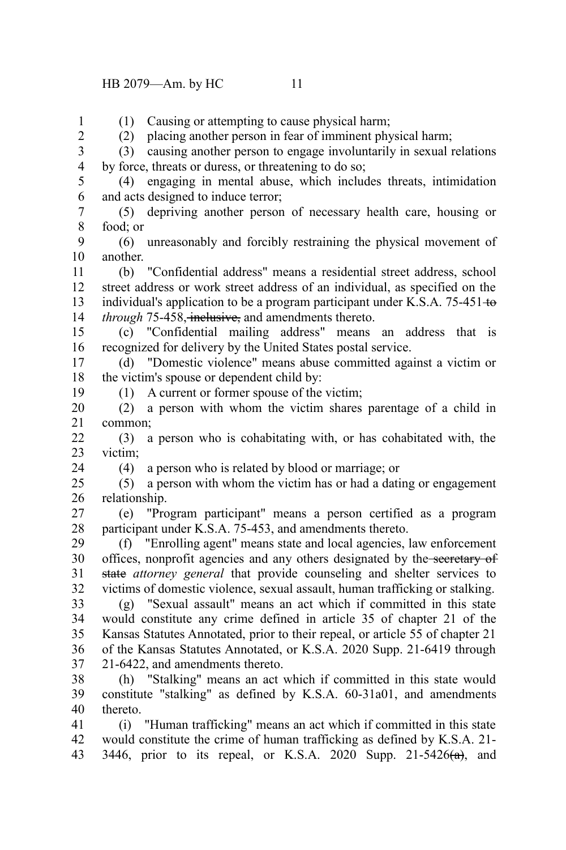## HB 2079—Am. by HC 11

(1) Causing or attempting to cause physical harm; (2) placing another person in fear of imminent physical harm; (3) causing another person to engage involuntarily in sexual relations by force, threats or duress, or threatening to do so; (4) engaging in mental abuse, which includes threats, intimidation and acts designed to induce terror; (5) depriving another person of necessary health care, housing or food; or (6) unreasonably and forcibly restraining the physical movement of another. (b) "Confidential address" means a residential street address, school street address or work street address of an individual, as specified on the individual's application to be a program participant under K.S.A.  $75-451+\theta$ *through* 75-458, *inclusive*, and amendments thereto. (c) "Confidential mailing address" means an address that is recognized for delivery by the United States postal service. (d) "Domestic violence" means abuse committed against a victim or the victim's spouse or dependent child by: (1) A current or former spouse of the victim; (2) a person with whom the victim shares parentage of a child in common; (3) a person who is cohabitating with, or has cohabitated with, the victim; (4) a person who is related by blood or marriage; or (5) a person with whom the victim has or had a dating or engagement relationship. (e) "Program participant" means a person certified as a program participant under K.S.A. 75-453, and amendments thereto. (f) "Enrolling agent" means state and local agencies, law enforcement offices, nonprofit agencies and any others designated by the secretary of state *attorney general* that provide counseling and shelter services to victims of domestic violence, sexual assault, human trafficking or stalking. (g) "Sexual assault" means an act which if committed in this state would constitute any crime defined in article 35 of chapter 21 of the Kansas Statutes Annotated, prior to their repeal, or article 55 of chapter 21 of the Kansas Statutes Annotated, or K.S.A. 2020 Supp. 21-6419 through 21-6422, and amendments thereto. (h) "Stalking" means an act which if committed in this state would constitute "stalking" as defined by K.S.A. 60-31a01, and amendments thereto. (i) "Human trafficking" means an act which if committed in this state would constitute the crime of human trafficking as defined by K.S.A. 21- 3446, prior to its repeal, or K.S.A.  $2020$  Supp.  $21-5426(a)$ , and 1 2 3 4 5 6 7 8 9 10 11 12 13 14 15 16 17 18 19 20 21 22 23 24 25 26 27 28 29 30 31 32 33 34 35 36 37 38 39 40 41 42 43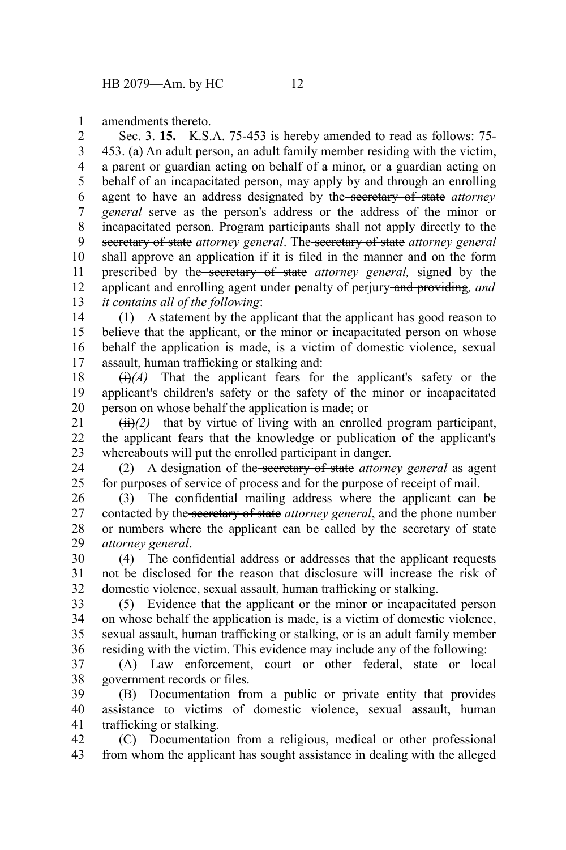amendments thereto. 1

Sec. 3. **15.** K.S.A. 75-453 is hereby amended to read as follows: 75-453. (a) An adult person, an adult family member residing with the victim, a parent or guardian acting on behalf of a minor, or a guardian acting on behalf of an incapacitated person, may apply by and through an enrolling agent to have an address designated by the secretary of state *attorney general* serve as the person's address or the address of the minor or incapacitated person. Program participants shall not apply directly to the secretary of state *attorney general*. The secretary of state *attorney general* shall approve an application if it is filed in the manner and on the form prescribed by the secretary of state *attorney general,* signed by the applicant and enrolling agent under penalty of perjury and providing*, and it contains all of the following*: 2 3 4 5 6 7 8 9 10 11 12 13

(1) A statement by the applicant that the applicant has good reason to believe that the applicant, or the minor or incapacitated person on whose behalf the application is made, is a victim of domestic violence, sexual assault, human trafficking or stalking and: 14 15 16 17

 $\overline{(i)}$ *(A)* That the applicant fears for the applicant's safety or the applicant's children's safety or the safety of the minor or incapacitated person on whose behalf the application is made; or 18 19 20

 $(ii)(2)$  that by virtue of living with an enrolled program participant, the applicant fears that the knowledge or publication of the applicant's whereabouts will put the enrolled participant in danger. 21 22 23

(2) A designation of the secretary of state *attorney general* as agent for purposes of service of process and for the purpose of receipt of mail. 24 25

(3) The confidential mailing address where the applicant can be contacted by the secretary of state *attorney general*, and the phone number or numbers where the applicant can be called by the secretary of state *attorney general*. 26 27 28 29

(4) The confidential address or addresses that the applicant requests not be disclosed for the reason that disclosure will increase the risk of domestic violence, sexual assault, human trafficking or stalking. 30 31 32

(5) Evidence that the applicant or the minor or incapacitated person on whose behalf the application is made, is a victim of domestic violence, sexual assault, human trafficking or stalking, or is an adult family member residing with the victim. This evidence may include any of the following: 33 34 35 36

(A) Law enforcement, court or other federal, state or local government records or files. 37 38

(B) Documentation from a public or private entity that provides assistance to victims of domestic violence, sexual assault, human trafficking or stalking. 39 40 41

(C) Documentation from a religious, medical or other professional from whom the applicant has sought assistance in dealing with the alleged 42 43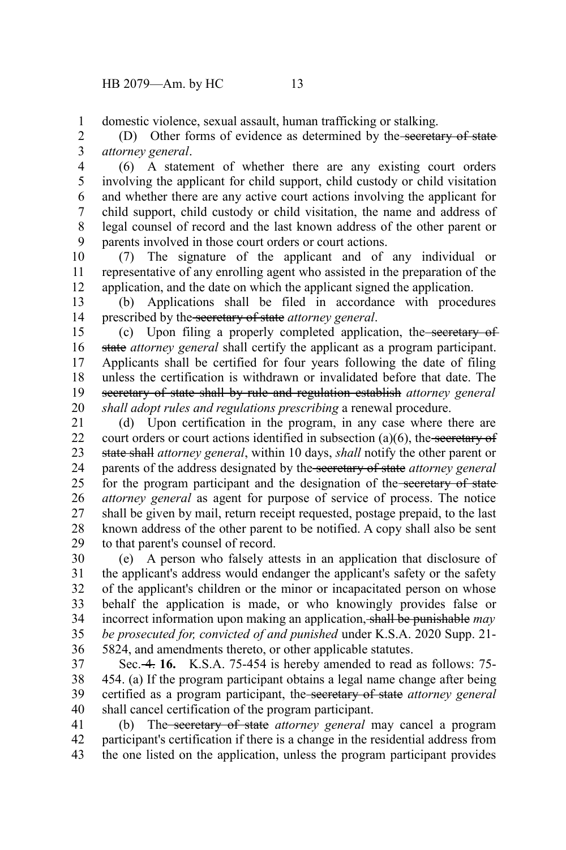domestic violence, sexual assault, human trafficking or stalking. 1

(D) Other forms of evidence as determined by the secretary of state *attorney general*. 2 3

(6) A statement of whether there are any existing court orders involving the applicant for child support, child custody or child visitation and whether there are any active court actions involving the applicant for child support, child custody or child visitation, the name and address of legal counsel of record and the last known address of the other parent or parents involved in those court orders or court actions. 4 5 6 7 8 9

(7) The signature of the applicant and of any individual or representative of any enrolling agent who assisted in the preparation of the application, and the date on which the applicant signed the application. 10 11 12

(b) Applications shall be filed in accordance with procedures prescribed by the secretary of state *attorney general*. 13 14

(c) Upon filing a properly completed application, the secretary of state *attorney general* shall certify the applicant as a program participant. Applicants shall be certified for four years following the date of filing unless the certification is withdrawn or invalidated before that date. The secretary of state shall by rule and regulation establish *attorney general shall adopt rules and regulations prescribing* a renewal procedure. 15 16 17 18 19 20

(d) Upon certification in the program, in any case where there are court orders or court actions identified in subsection  $(a)(6)$ , the secretary of state shall *attorney general*, within 10 days, *shall* notify the other parent or parents of the address designated by the secretary of state *attorney general* for the program participant and the designation of the secretary of state *attorney general* as agent for purpose of service of process. The notice shall be given by mail, return receipt requested, postage prepaid, to the last known address of the other parent to be notified. A copy shall also be sent to that parent's counsel of record. 21 22 23 24 25 26 27 28 29

(e) A person who falsely attests in an application that disclosure of the applicant's address would endanger the applicant's safety or the safety of the applicant's children or the minor or incapacitated person on whose behalf the application is made, or who knowingly provides false or incorrect information upon making an application, shall be punishable *may be prosecuted for, convicted of and punished* under K.S.A. 2020 Supp. 21- 5824, and amendments thereto, or other applicable statutes. 30 31 32 33 34 35 36

Sec. 4. **16.** K.S.A. 75-454 is hereby amended to read as follows: 75- 454. (a) If the program participant obtains a legal name change after being certified as a program participant, the secretary of state *attorney general* shall cancel certification of the program participant. 37 38 39 40

(b) The secretary of state *attorney general* may cancel a program participant's certification if there is a change in the residential address from the one listed on the application, unless the program participant provides 41 42 43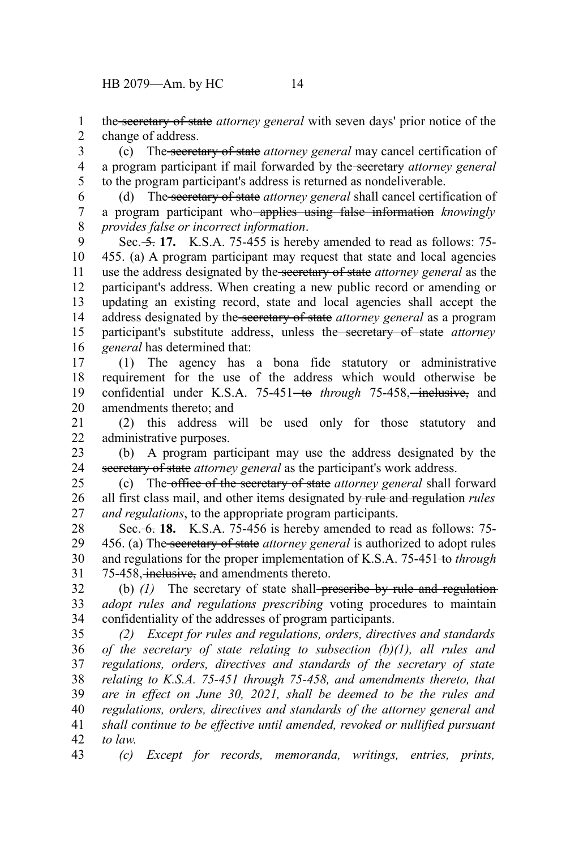the secretary of state *attorney general* with seven days' prior notice of the change of address. 1 2

(c) The secretary of state *attorney general* may cancel certification of a program participant if mail forwarded by the secretary *attorney general* to the program participant's address is returned as nondeliverable. 3 4 5

(d) The secretary of state *attorney general* shall cancel certification of a program participant who applies using false information *knowingly provides false or incorrect information*. 6 7 8

Sec. <del>5.</del> 17. K.S.A. 75-455 is hereby amended to read as follows: 75-455. (a) A program participant may request that state and local agencies use the address designated by the secretary of state *attorney general* as the participant's address. When creating a new public record or amending or updating an existing record, state and local agencies shall accept the address designated by the secretary of state *attorney general* as a program participant's substitute address, unless the secretary of state *attorney general* has determined that: 9 10 11 12 13 14 15 16

(1) The agency has a bona fide statutory or administrative requirement for the use of the address which would otherwise be confidential under K.S.A. 75-451<del>-to</del> through 75-458, inclusive, and amendments thereto; and 17 18 19 20

(2) this address will be used only for those statutory and administrative purposes. 21 22

(b) A program participant may use the address designated by the secretary of state *attorney general* as the participant's work address. 23 24

(c) The office of the secretary of state *attorney general* shall forward all first class mail, and other items designated by rule and regulation *rules and regulations*, to the appropriate program participants. 25 26 27

Sec. 6. **18.** K.S.A. 75-456 is hereby amended to read as follows: 75- 456. (a) The secretary of state *attorney general* is authorized to adopt rules and regulations for the proper implementation of K.S.A. 75-451 to *through* 75-458, inclusive, and amendments thereto. 28 29 30 31

(b) (1) The secretary of state shall-preseribe by rule and regulation*adopt rules and regulations prescribing* voting procedures to maintain confidentiality of the addresses of program participants. 32 33 34

*(2) Except for rules and regulations, orders, directives and standards of the secretary of state relating to subsection (b)(1), all rules and regulations, orders, directives and standards of the secretary of state relating to K.S.A. 75-451 through 75-458, and amendments thereto, that are in effect on June 30, 2021, shall be deemed to be the rules and regulations, orders, directives and standards of the attorney general and shall continue to be effective until amended, revoked or nullified pursuant to law.* 35 36 37 38 39 40 41 42

*(c) Except for records, memoranda, writings, entries, prints,* 43